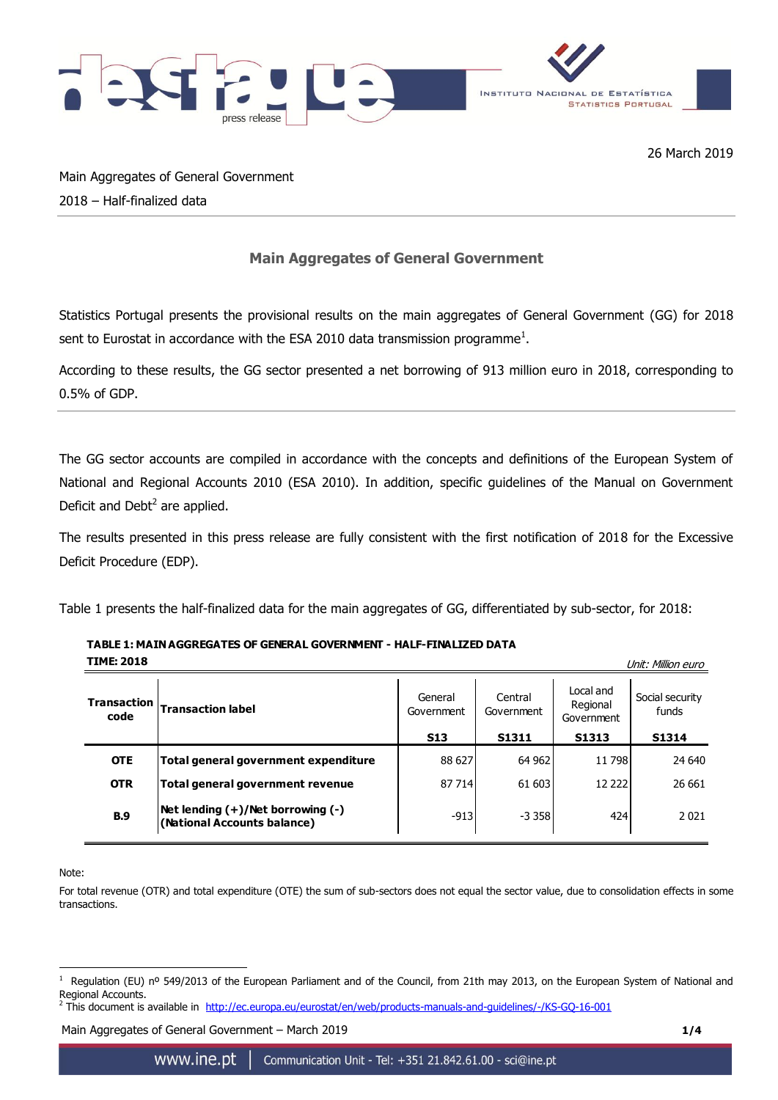

26 March 2019

Main Aggregates of General Government 2018 – Half-finalized data

## **Main Aggregates of General Government**

Statistics Portugal presents the provisional results on the main aggregates of General Government (GG) for 2018 sent to Eurostat in accordance with the ESA 2010 data transmission programme<sup>1</sup>.

According to these results, the GG sector presented a net borrowing of 913 million euro in 2018, corresponding to 0.5% of GDP.

The GG sector accounts are compiled in accordance with the concepts and definitions of the European System of National and Regional Accounts 2010 (ESA 2010). In addition, specific guidelines of the Manual on Government Deficit and Debt $<sup>2</sup>$  are applied.</sup>

The results presented in this press release are fully consistent with the first notification of 2018 for the Excessive Deficit Procedure (EDP).

Table 1 presents the half-finalized data for the main aggregates of GG, differentiated by sub-sector, for 2018:

| <b>TIME: 2018</b><br>Unit: Million euro |                                                                       |                       |                       |                                     |                          |
|-----------------------------------------|-----------------------------------------------------------------------|-----------------------|-----------------------|-------------------------------------|--------------------------|
| <b>Transaction</b><br>code              | <b>Transaction label</b>                                              | General<br>Government | Central<br>Government | Local and<br>Regional<br>Government | Social security<br>funds |
|                                         |                                                                       | <b>S13</b>            | S1311                 | S1313                               | <b>S1314</b>             |
| <b>OTE</b>                              | Total general government expenditure                                  | 88 627                | 64 962                | 11 798                              | 24 640                   |
| <b>OTR</b>                              | Total general government revenue                                      | 87 714                | 61 603                | 12 2 2 2 1                          | 26 661                   |
| <b>B.9</b>                              | Net lending $(+)/$ Net borrowing $(-)$<br>(National Accounts balance) | $-913$                | $-3.358$              | 424                                 | 2021                     |

**TABLE 1: MAIN AGGREGATES OF GENERAL GOVERNMENT - HALF-FINALIZED DATA**

Note:

<u>.</u>

For total revenue (OTR) and total expenditure (OTE) the sum of sub-sectors does not equal the sector value, due to consolidation effects in some transactions.

Main Aggregates of General Government – March 2019 **1/4**

<sup>1</sup> Regulation (EU) nº 549/2013 of the European Parliament and of the Council, from 21th may 2013, on the European System of National and Regional Accounts.

<sup>&</sup>lt;sup>2</sup> This document is available in <http://ec.europa.eu/eurostat/en/web/products-manuals-and-guidelines/-/KS-GQ-16-001>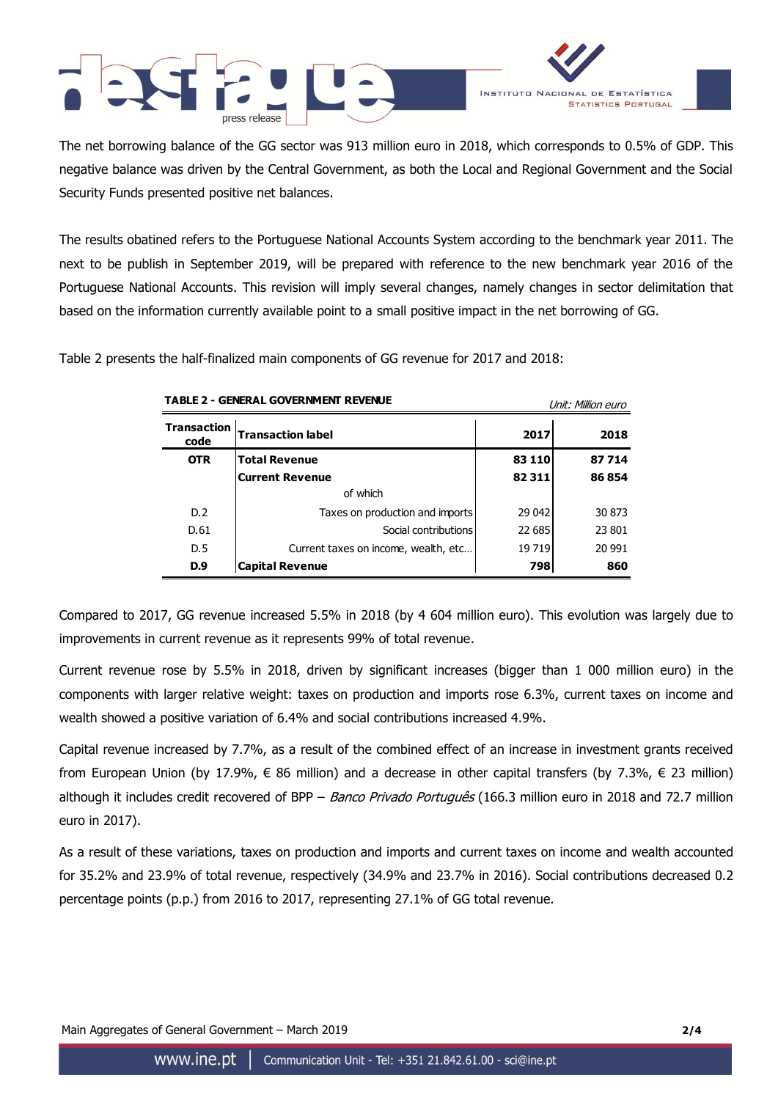



The net borrowing balance of the GG sector was 913 million euro in 2018, which corresponds to 0.5% of GDP. This negative balance was driven by the Central Government, as both the Local and Regional Government and the Social Security Funds presented positive net balances.

The results obatined refers to the Portuguese National Accounts System according to the benchmark year 2011. The next to be publish in September 2019, will be prepared with reference to the new benchmark year 2016 of the Portuguese National Accounts. This revision will imply several changes, namely changes in sector delimitation that based on the information currently available point to a small positive impact in the net borrowing of GG.

Table 2 presents the half-finalized main components of GG revenue for 2017 and 2018:

| TADLL 4 - GLIJLNAL GOVLNIJITLIJI NLVLIJOL |                                      | Unit: Million euro |        |  |
|-------------------------------------------|--------------------------------------|--------------------|--------|--|
| <b>Transaction</b><br>code                | <b>Transaction label</b>             | 2017               | 2018   |  |
| <b>OTR</b>                                | <b>Total Revenue</b>                 | 83 110             | 87714  |  |
|                                           | <b>Current Revenue</b>               | 82311              | 86854  |  |
|                                           | of which                             |                    |        |  |
| D.2                                       | Taxes on production and imports      | 29 042             | 30873  |  |
| D.61                                      | Social contributions                 | 22 685             | 23 801 |  |
| D.5                                       | Current taxes on income, wealth, etc | 19719              | 20 991 |  |
| D.9                                       | <b>Capital Revenue</b>               | 798                | 860    |  |

**CENERAL COVERNMENT REVENUE** 

Compared to 2017, GG revenue increased 5.5% in 2018 (by 4 604 million euro). This evolution was largely due to improvements in current revenue as it represents 99% of total revenue.

Current revenue rose by 5.5% in 2018, driven by significant increases (bigger than 1 000 million euro) in the components with larger relative weight: taxes on production and imports rose 6.3%, current taxes on income and wealth showed a positive variation of 6.4% and social contributions increased 4.9%.

Capital revenue increased by 7.7%, as a result of the combined effect of an increase in investment grants received from European Union (by 17.9%, € 86 million) and a decrease in other capital transfers (by 7.3%, € 23 million) although it includes credit recovered of BPP - Banco Privado Português (166.3 million euro in 2018 and 72.7 million euro in 2017).

As a result of these variations, taxes on production and imports and current taxes on income and wealth accounted for 35.2% and 23.9% of total revenue, respectively (34.9% and 23.7% in 2016). Social contributions decreased 0.2 percentage points (p.p.) from 2016 to 2017, representing 27.1% of GG total revenue.

Main Aggregates of General Government – March 2019 **2/4**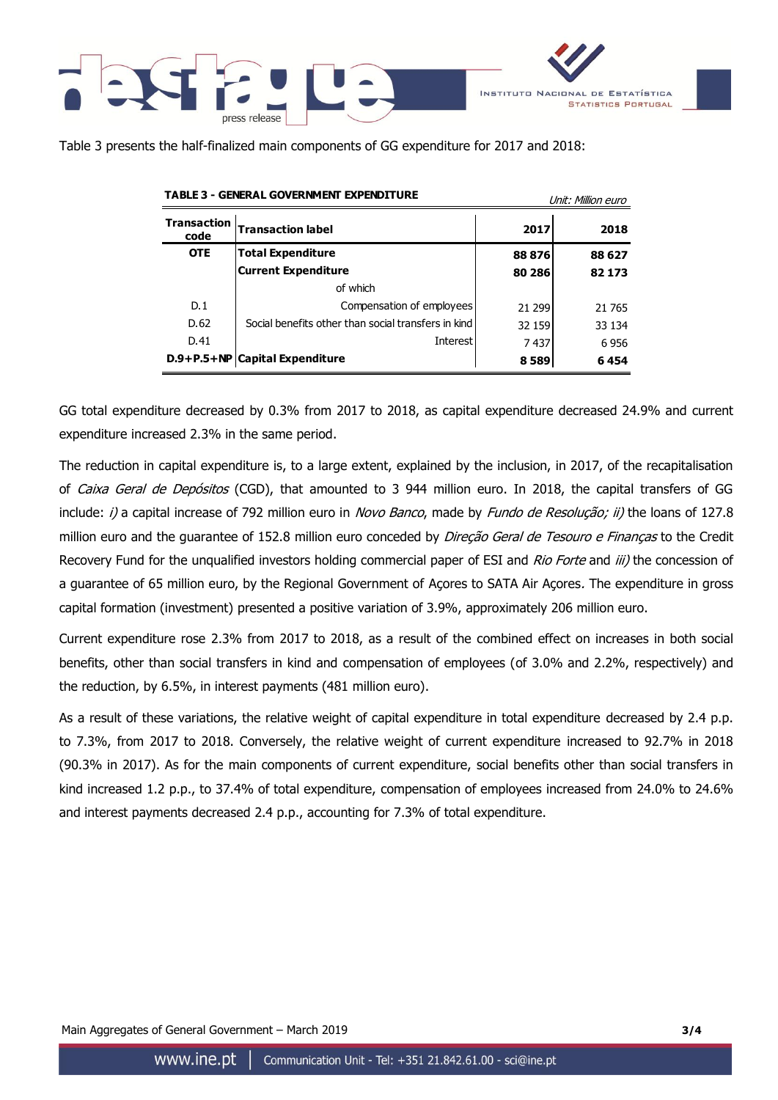



Table 3 presents the half-finalized main components of GG expenditure for 2017 and 2018:

|                            |                                                     | UNIT: MIIIION EUro |         |  |
|----------------------------|-----------------------------------------------------|--------------------|---------|--|
| <b>Transaction</b><br>code | <b>Transaction label</b>                            | 2017               | 2018    |  |
| <b>OTE</b>                 | <b>Total Expenditure</b>                            | 88876              | 88 627  |  |
|                            | <b>Current Expenditure</b>                          | 80 286             | 82 173  |  |
|                            | of which                                            |                    |         |  |
| D.1                        | Compensation of employees                           | 21 2 9 9           | 21 7 65 |  |
| D.62                       | Social benefits other than social transfers in kind | 32 159             | 33 134  |  |
| D.41                       | Interest                                            | 7437               | 6956    |  |
|                            | D.9+P.5+NP Capital Expenditure                      | 8589               | 6454    |  |

**TABLE 3 - GENERAL GOVERNMENT EXPENDITURE**  $U^{int}$   $U^{int}$   $M^{int}$   $\Omega^{int}$ 

GG total expenditure decreased by 0.3% from 2017 to 2018, as capital expenditure decreased 24.9% and current expenditure increased 2.3% in the same period.

The reduction in capital expenditure is, to a large extent, explained by the inclusion, in 2017, of the recapitalisation of Caixa Geral de Depósitos (CGD), that amounted to 3 944 million euro. In 2018, the capital transfers of GG include: *i)* a capital increase of 792 million euro in *Novo Banco*, made by *Fundo de Resolução; ii)* the loans of 127.8 million euro and the guarantee of 152.8 million euro conceded by Direção Geral de Tesouro e Finanças to the Credit Recovery Fund for the unqualified investors holding commercial paper of ESI and Rio Forte and iii) the concession of a guarantee of 65 million euro, by the Regional Government of Açores to SATA Air Açores. The expenditure in gross capital formation (investment) presented a positive variation of 3.9%, approximately 206 million euro.

Current expenditure rose 2.3% from 2017 to 2018, as a result of the combined effect on increases in both social benefits, other than social transfers in kind and compensation of employees (of 3.0% and 2.2%, respectively) and the reduction, by 6.5%, in interest payments (481 million euro).

As a result of these variations, the relative weight of capital expenditure in total expenditure decreased by 2.4 p.p. to 7.3%, from 2017 to 2018. Conversely, the relative weight of current expenditure increased to 92.7% in 2018 (90.3% in 2017). As for the main components of current expenditure, social benefits other than social transfers in kind increased 1.2 p.p., to 37.4% of total expenditure, compensation of employees increased from 24.0% to 24.6% and interest payments decreased 2.4 p.p., accounting for 7.3% of total expenditure.

Main Aggregates of General Government – March 2019 **3/4**